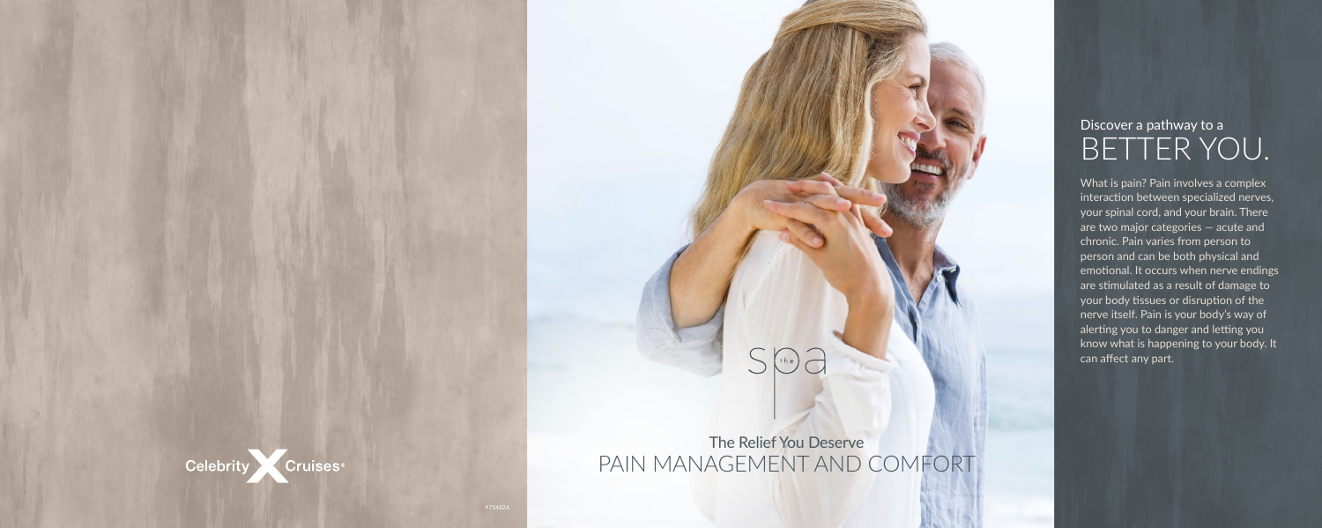# $(he)$

## Cruises Celebrity

## Discover a pathway to a BETTER YOU.

What is pain? Pain involves a complex interaction between specialized nerves, your spinal cord, and your brain. There are two major categories — acute and chronic. Pain varies from person to person and can be both physical and emotional. It occurs when nerve endings are stimulated as a result of damage to your body tissues or disruption of the nerve itself. Pain is your body's way of alerting you to danger and letting you know what is happening to your body. It can affect any part.

## The Relief You Deserve PAIN MANAGEMENT AND COMFORT